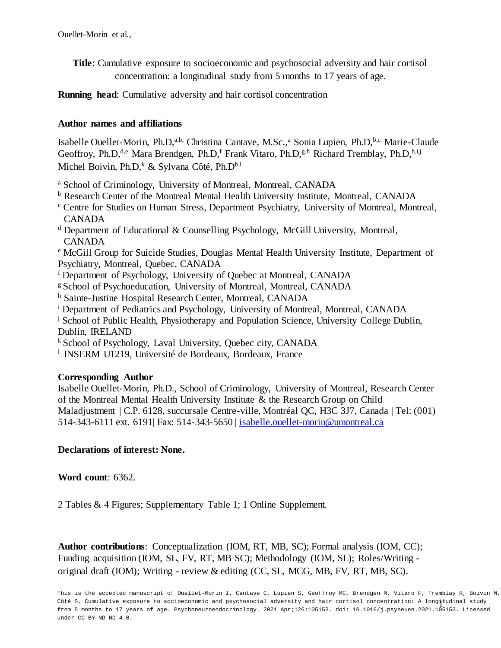**Title**: Cumulative exposure to socioeconomic and psychosocial adversity and hair cortisol concentration: a longitudinal study from 5 months to 17 years of age.

**Running head**: Cumulative adversity and hair cortisol concentration

# **Author names and affiliations**

Isabelle Ouellet-Morin, Ph.D,<sup>a,b,</sup> Christina Cantave, M.Sc.,<sup>a</sup> Sonia Lupien, Ph.D,<sup>b,c</sup> Marie-Claude Geoffroy, Ph.D,<sup>d,e</sup> Mara Brendgen, Ph.D,<sup>f</sup> Frank Vitaro, Ph.D,<sup>g,h</sup> Richard Tremblay, Ph.D,<sup>h,i,j</sup> Michel Boivin, Ph.D,  $k \& Sylvana Côté, Ph.D<sup>h,l</sup>$ 

<sup>a</sup> School of Criminology, University of Montreal, Montreal, CANADA

- <sup>b</sup> Research Center of the Montreal Mental Health University Institute, Montreal, CANADA
- <sup>c</sup> Centre for Studies on Human Stress, Department Psychiatry, University of Montreal, Montreal, CANADA
- $d$  Department of Educational & Counselling Psychology, McGill University, Montreal, CANADA

<sup>e</sup> McGill Group for Suicide Studies, Douglas Mental Health University Institute, Department of Psychiatry, Montreal, Quebec, CANADA

<sup>f</sup> Department of Psychology, University of Quebec at Montreal, CANADA

<sup>g</sup> School of Psychoeducation, University of Montreal, Montreal, CANADA

<sup>h</sup> Sainte-Justine Hospital Research Center, Montreal, CANADA

<sup>i</sup> Department of Pediatrics and Psychology, University of Montreal, Montreal, CANADA

<sup>j</sup> School of Public Health, Physiotherapy and Population Science, University College Dublin, Dublin, IRELAND

 $k$  School of Psychology, Laval University, Ouebec city, CANADA

<sup>1</sup> INSERM U1219, Université de Bordeaux, Bordeaux, France

# **Corresponding Author**

Isabelle Ouellet-Morin, Ph.D., School of Criminology, University of Montreal, Research Center of the Montreal Mental Health University Institute & the Research Group on Child Maladjustment | C.P. 6128, succursale Centre-ville, Montréal QC, H3C 3J7, Canada | Tel: (001) 514-343-6111 ext. 6191| Fax: 514-343-5650 | [isabelle.ouellet-morin@umontreal.ca](mailto:isabelle.ouellet-morin@umontreal.ca)

# **Declarations of interest: None.**

## **Word count**: 6362.

2 Tables & 4 Figures; Supplementary Table 1; 1 Online Supplement.

**Author contributions**: Conceptualization (IOM, RT, MB, SC); Formal analysis (IOM, CC); Funding acquisition (IOM, SL, FV, RT, MB SC); Methodology (IOM, SL); Roles/Writing original draft (IOM); Writing - review & editing (CC, SL, MCG, MB, FV, RT, MB, SC).

1 Côté S. Cumulative exposure to socioeconomic and psychosocial adversity and hair cortisol concentration: A longitudinal study This is the accepted manuscript of Ouellet-Morin I, Cantave C, Lupien S, Geoffroy MC, Brendgen M, Vitaro F, Tremblay R, Boivin M, from 5 months to 17 years of age. Psychoneuroendocrinology. 2021 Apr;126:105153. doi: 10.1016/j.psyneuen.2021.105153. Licensed under CC-BY-ND-ND 4.0.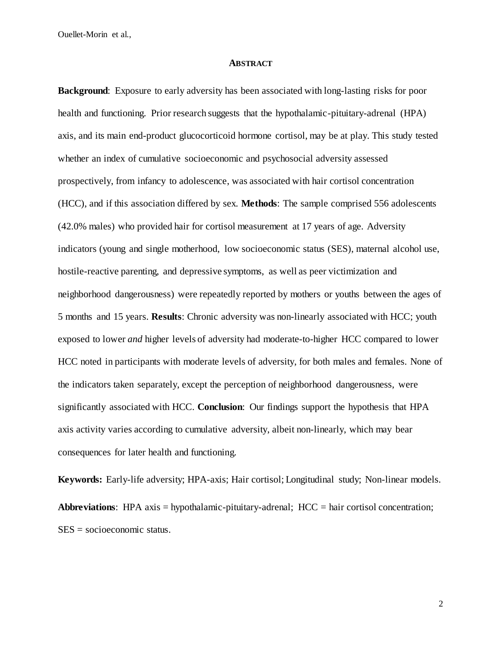#### **ABSTRACT**

**Background**: Exposure to early adversity has been associated with long-lasting risks for poor health and functioning. Prior research suggests that the hypothalamic-pituitary-adrenal (HPA) axis, and its main end-product glucocorticoid hormone cortisol, may be at play. This study tested whether an index of cumulative socioeconomic and psychosocial adversity assessed prospectively, from infancy to adolescence, was associated with hair cortisol concentration (HCC), and if this association differed by sex. **Methods**: The sample comprised 556 adolescents (42.0% males) who provided hair for cortisol measurement at 17 years of age. Adversity indicators (young and single motherhood, low socioeconomic status (SES), maternal alcohol use, hostile-reactive parenting, and depressive symptoms, as well as peer victimization and neighborhood dangerousness) were repeatedly reported by mothers or youths between the ages of 5 months and 15 years. **Results**: Chronic adversity was non-linearly associated with HCC; youth exposed to lower *and* higher levels of adversity had moderate-to-higher HCC compared to lower HCC noted in participants with moderate levels of adversity, for both males and females. None of the indicators taken separately, except the perception of neighborhood dangerousness, were significantly associated with HCC. **Conclusion**: Our findings support the hypothesis that HPA axis activity varies according to cumulative adversity, albeit non-linearly, which may bear consequences for later health and functioning.

**Keywords:** Early-life adversity; HPA-axis; Hair cortisol; Longitudinal study; Non-linear models. **Abbreviations**: HPA axis = hypothalamic-pituitary-adrenal; HCC = hair cortisol concentration; SES = socioeconomic status.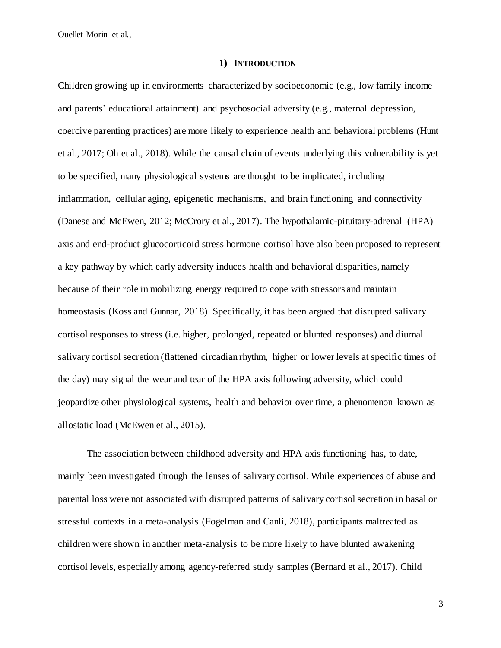### **1) INTRODUCTION**

Children growing up in environments characterized by socioeconomic (e.g., low family income and parents' educational attainment) and psychosocial adversity (e.g., maternal depression, coercive parenting practices) are more likely to experience health and behavioral problems (Hunt et al., 2017; Oh et al., 2018). While the causal chain of events underlying this vulnerability is yet to be specified, many physiological systems are thought to be implicated, including inflammation, cellular aging, epigenetic mechanisms, and brain functioning and connectivity (Danese and McEwen, 2012; McCrory et al., 2017). The hypothalamic-pituitary-adrenal (HPA) axis and end-product glucocorticoid stress hormone cortisol have also been proposed to represent a key pathway by which early adversity induces health and behavioral disparities, namely because of their role in mobilizing energy required to cope with stressors and maintain homeostasis (Koss and Gunnar, 2018). Specifically, it has been argued that disrupted salivary cortisol responses to stress (i.e. higher, prolonged, repeated or blunted responses) and diurnal salivary cortisol secretion (flattened circadian rhythm, higher or lower levels at specific times of the day) may signal the wear and tear of the HPA axis following adversity, which could jeopardize other physiological systems, health and behavior over time, a phenomenon known as allostatic load (McEwen et al., 2015).

The association between childhood adversity and HPA axis functioning has, to date, mainly been investigated through the lenses of salivary cortisol. While experiences of abuse and parental loss were not associated with disrupted patterns of salivary cortisol secretion in basal or stressful contexts in a meta-analysis (Fogelman and Canli, 2018), participants maltreated as children were shown in another meta-analysis to be more likely to have blunted awakening cortisol levels, especially among agency-referred study samples (Bernard et al., 2017). Child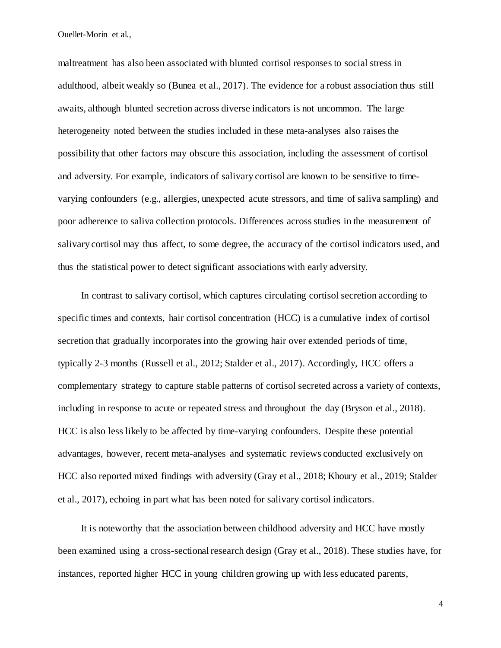maltreatment has also been associated with blunted cortisol responses to social stress in adulthood, albeit weakly so (Bunea et al., 2017). The evidence for a robust association thus still awaits, although blunted secretion across diverse indicators is not uncommon. The large heterogeneity noted between the studies included in these meta-analyses also raises the possibility that other factors may obscure this association, including the assessment of cortisol and adversity. For example, indicators of salivary cortisol are known to be sensitive to timevarying confounders (e.g., allergies, unexpected acute stressors, and time of saliva sampling) and poor adherence to saliva collection protocols. Differences across studies in the measurement of salivary cortisol may thus affect, to some degree, the accuracy of the cortisol indicators used, and thus the statistical power to detect significant associations with early adversity.

In contrast to salivary cortisol, which captures circulating cortisol secretion according to specific times and contexts, hair cortisol concentration (HCC) is a cumulative index of cortisol secretion that gradually incorporates into the growing hair over extended periods of time, typically 2-3 months (Russell et al., 2012; Stalder et al., 2017). Accordingly, HCC offers a complementary strategy to capture stable patterns of cortisol secreted across a variety of contexts, including in response to acute or repeated stress and throughout the day (Bryson et al., 2018). HCC is also less likely to be affected by time-varying confounders. Despite these potential advantages, however, recent meta-analyses and systematic reviews conducted exclusively on HCC also reported mixed findings with adversity (Gray et al., 2018; Khoury et al., 2019; Stalder et al., 2017), echoing in part what has been noted for salivary cortisol indicators.

It is noteworthy that the association between childhood adversity and HCC have mostly been examined using a cross-sectional research design (Gray et al., 2018). These studies have, for instances, reported higher HCC in young children growing up with less educated parents,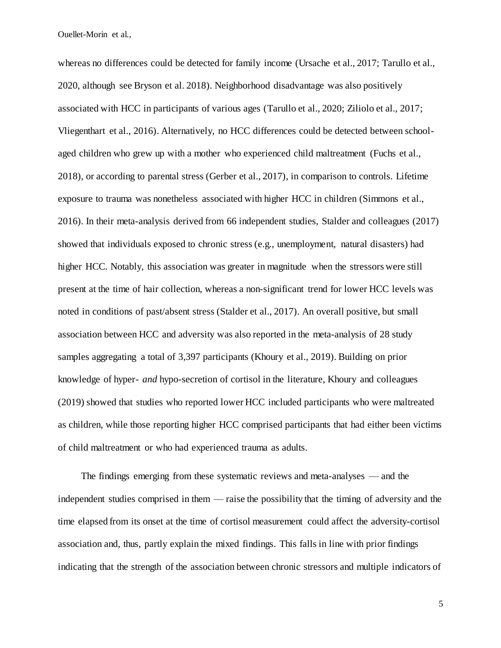whereas no differences could be detected for family income (Ursache et al., 2017; Tarullo et al., 2020, although see Bryson et al. 2018). Neighborhood disadvantage was also positively associated with HCC in participants of various ages (Tarullo et al., 2020; Ziliolo et al., 2017; Vliegenthart et al., 2016). Alternatively, no HCC differences could be detected between schoolaged children who grew up with a mother who experienced child maltreatment (Fuchs et al., 2018), or according to parental stress (Gerber et al., 2017), in comparison to controls. Lifetime exposure to trauma was nonetheless associated with higher HCC in children (Simmons et al., 2016). In their meta-analysis derived from 66 independent studies, Stalder and colleagues (2017) showed that individuals exposed to chronic stress (e.g., unemployment, natural disasters) had higher HCC. Notably, this association was greater in magnitude when the stressors were still present at the time of hair collection, whereas a non-significant trend for lower HCC levels was noted in conditions of past/absent stress (Stalder et al., 2017). An overall positive, but small association between HCC and adversity was also reported in the meta-analysis of 28 study samples aggregating a total of 3,397 participants (Khoury et al., 2019). Building on prior knowledge of hyper- *and* hypo-secretion of cortisol in the literature, Khoury and colleagues (2019) showed that studies who reported lower HCC included participants who were maltreated as children, while those reporting higher HCC comprised participants that had either been victims of child maltreatment or who had experienced trauma as adults.

The findings emerging from these systematic reviews and meta-analyses — and the independent studies comprised in them — raise the possibility that the timing of adversity and the time elapsed from its onset at the time of cortisol measurement could affect the adversity-cortisol association and, thus, partly explain the mixed findings. This falls in line with prior findings indicating that the strength of the association between chronic stressors and multiple indicators of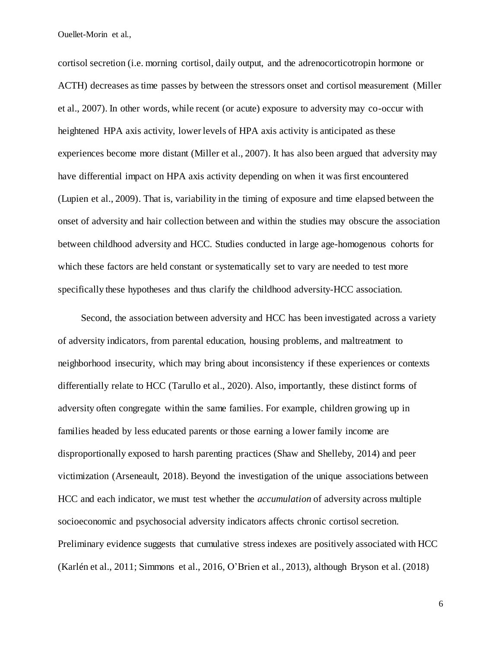cortisol secretion (i.e. morning cortisol, daily output, and the adrenocorticotropin hormone or ACTH) decreases as time passes by between the stressors onset and cortisol measurement (Miller et al., 2007). In other words, while recent (or acute) exposure to adversity may co-occur with heightened HPA axis activity, lower levels of HPA axis activity is anticipated as these experiences become more distant (Miller et al., 2007). It has also been argued that adversity may have differential impact on HPA axis activity depending on when it was first encountered (Lupien et al., 2009). That is, variability in the timing of exposure and time elapsed between the onset of adversity and hair collection between and within the studies may obscure the association between childhood adversity and HCC. Studies conducted in large age-homogenous cohorts for which these factors are held constant or systematically set to vary are needed to test more specifically these hypotheses and thus clarify the childhood adversity-HCC association.

Second, the association between adversity and HCC has been investigated across a variety of adversity indicators, from parental education, housing problems, and maltreatment to neighborhood insecurity, which may bring about inconsistency if these experiences or contexts differentially relate to HCC (Tarullo et al., 2020). Also, importantly, these distinct forms of adversity often congregate within the same families. For example, children growing up in families headed by less educated parents or those earning a lower family income are disproportionally exposed to harsh parenting practices (Shaw and Shelleby, 2014) and peer victimization (Arseneault, 2018). Beyond the investigation of the unique associations between HCC and each indicator, we must test whether the *accumulation* of adversity across multiple socioeconomic and psychosocial adversity indicators affects chronic cortisol secretion. Preliminary evidence suggests that cumulative stress indexes are positively associated with HCC (Karlén et al., 2011; Simmons et al., 2016, O'Brien et al., 2013), although Bryson et al. (2018)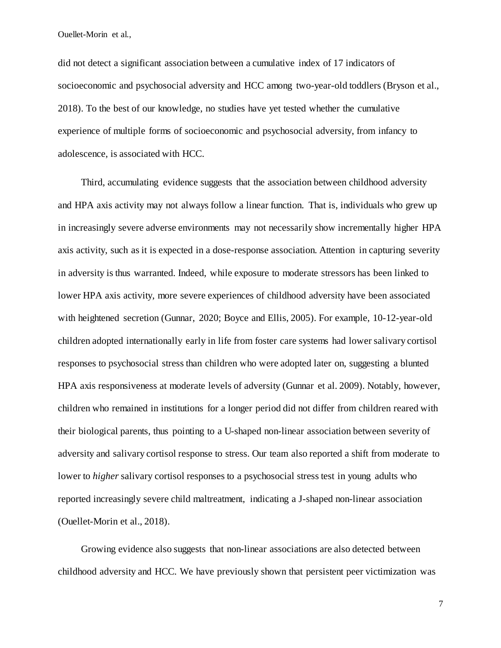did not detect a significant association between a cumulative index of 17 indicators of socioeconomic and psychosocial adversity and HCC among two-year-old toddlers (Bryson et al., 2018). To the best of our knowledge, no studies have yet tested whether the cumulative experience of multiple forms of socioeconomic and psychosocial adversity, from infancy to adolescence, is associated with HCC.

Third, accumulating evidence suggests that the association between childhood adversity and HPA axis activity may not always follow a linear function. That is, individuals who grew up in increasingly severe adverse environments may not necessarily show incrementally higher HPA axis activity, such as it is expected in a dose-response association. Attention in capturing severity in adversity is thus warranted. Indeed, while exposure to moderate stressors has been linked to lower HPA axis activity, more severe experiences of childhood adversity have been associated with heightened secretion (Gunnar, 2020; Boyce and Ellis, 2005). For example, 10-12-year-old children adopted internationally early in life from foster care systems had lower salivary cortisol responses to psychosocial stress than children who were adopted later on, suggesting a blunted HPA axis responsiveness at moderate levels of adversity (Gunnar et al. 2009). Notably, however, children who remained in institutions for a longer period did not differ from children reared with their biological parents, thus pointing to a U-shaped non-linear association between severity of adversity and salivary cortisol response to stress. Our team also reported a shift from moderate to lower to *higher* salivary cortisol responses to a psychosocial stress test in young adults who reported increasingly severe child maltreatment, indicating a J-shaped non-linear association (Ouellet-Morin et al., 2018).

Growing evidence also suggests that non-linear associations are also detected between childhood adversity and HCC. We have previously shown that persistent peer victimization was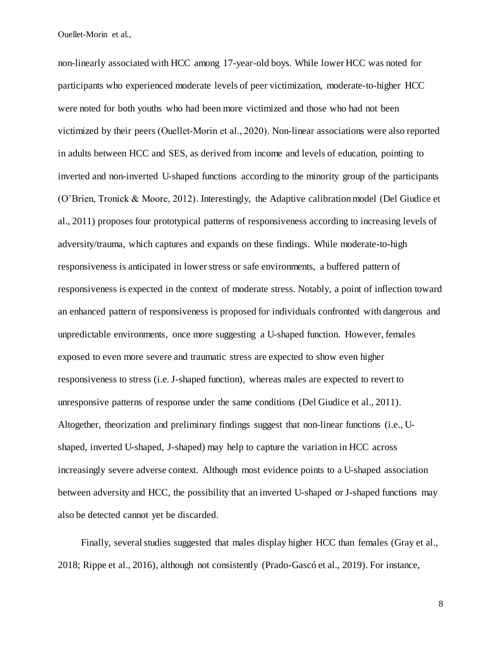non-linearly associated with HCC among 17-year-old boys. While lower HCC was noted for participants who experienced moderate levels of peer victimization, moderate-to-higher HCC were noted for both youths who had been more victimized and those who had not been victimized by their peers (Ouellet‐Morin et al., 2020). Non-linear associations were also reported in adults between HCC and SES, as derived from income and levels of education, pointing to inverted and non-inverted U-shaped functions according to the minority group of the participants (O'Brien, Tronick & Moore, 2012). Interestingly, the Adaptive calibration model (Del Giudice et al., 2011) proposes four prototypical patterns of responsiveness according to increasing levels of adversity/trauma, which captures and expands on these findings. While moderate-to-high responsiveness is anticipated in lower stress or safe environments, a buffered pattern of responsiveness is expected in the context of moderate stress. Notably, a point of inflection toward an enhanced pattern of responsiveness is proposed for individuals confronted with dangerous and unpredictable environments, once more suggesting a U-shaped function. However, females exposed to even more severe and traumatic stress are expected to show even higher responsiveness to stress (i.e. J-shaped function), whereas males are expected to revert to unresponsive patterns of response under the same conditions (Del Giudice et al., 2011). Altogether, theorization and preliminary findings suggest that non-linear functions (i.e., Ushaped, inverted U-shaped, J-shaped) may help to capture the variation in HCC across increasingly severe adverse context. Although most evidence points to a U-shaped association between adversity and HCC, the possibility that an inverted U-shaped or J-shaped functions may also be detected cannot yet be discarded.

Finally, several studies suggested that males display higher HCC than females (Gray et al., 2018; Rippe et al., 2016), although not consistently (Prado-Gascó et al., 2019). For instance,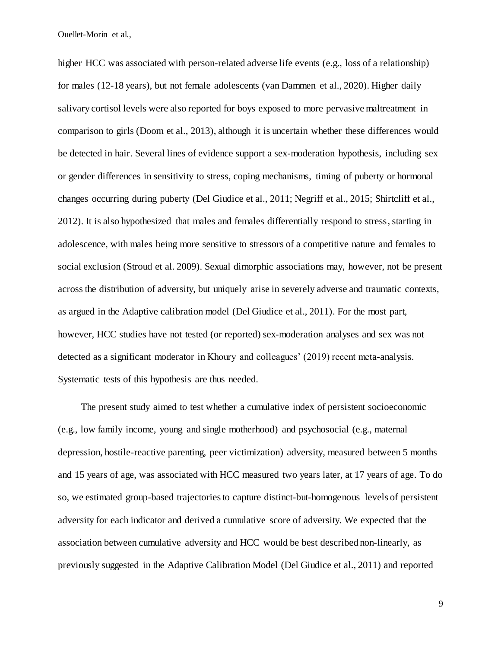higher HCC was associated with person-related adverse life events (e.g., loss of a relationship) for males (12-18 years), but not female adolescents (van Dammen et al., 2020). Higher daily salivary cortisol levels were also reported for boys exposed to more pervasive maltreatment in comparison to girls (Doom et al., 2013), although it is uncertain whether these differences would be detected in hair. Several lines of evidence support a sex-moderation hypothesis, including sex or gender differences in sensitivity to stress, coping mechanisms, timing of puberty or hormonal changes occurring during puberty (Del Giudice et al., 2011; Negriff et al., 2015; Shirtcliff et al., 2012). It is also hypothesized that males and females differentially respond to stress, starting in adolescence, with males being more sensitive to stressors of a competitive nature and females to social exclusion (Stroud et al. 2009). Sexual dimorphic associations may, however, not be present across the distribution of adversity, but uniquely arise in severely adverse and traumatic contexts, as argued in the Adaptive calibration model (Del Giudice et al., 2011). For the most part, however, HCC studies have not tested (or reported) sex-moderation analyses and sex was not detected as a significant moderator in Khoury and colleagues' (2019) recent meta-analysis. Systematic tests of this hypothesis are thus needed.

The present study aimed to test whether a cumulative index of persistent socioeconomic (e.g., low family income, young and single motherhood) and psychosocial (e.g., maternal depression, hostile-reactive parenting, peer victimization) adversity, measured between 5 months and 15 years of age, was associated with HCC measured two years later, at 17 years of age. To do so, we estimated group-based trajectories to capture distinct-but-homogenous levels of persistent adversity for each indicator and derived a cumulative score of adversity. We expected that the association between cumulative adversity and HCC would be best described non-linearly, as previously suggested in the Adaptive Calibration Model (Del Giudice et al., 2011) and reported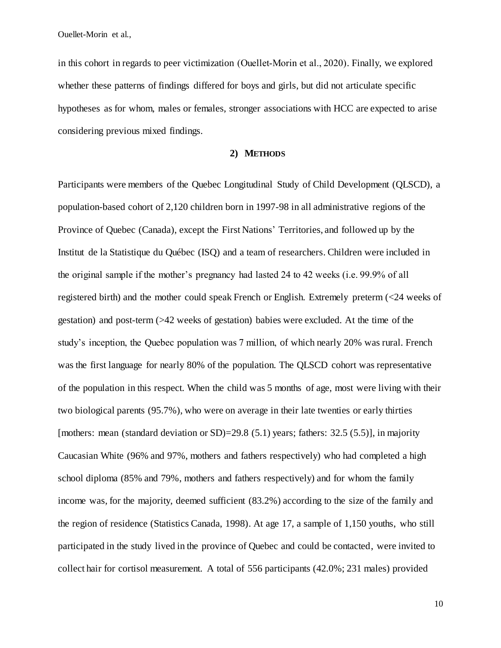in this cohort in regards to peer victimization (Ouellet‐Morin et al., 2020). Finally, we explored whether these patterns of findings differed for boys and girls, but did not articulate specific hypotheses as for whom, males or females, stronger associations with HCC are expected to arise considering previous mixed findings.

### **2) METHODS**

Participants were members of the Quebec Longitudinal Study of Child Development (QLSCD), a population-based cohort of 2,120 children born in 1997-98 in all administrative regions of the Province of Quebec (Canada), except the First Nations' Territories, and followed up by the Institut de la Statistique du Québec (ISQ) and a team of researchers. Children were included in the original sample if the mother's pregnancy had lasted 24 to 42 weeks (i.e. 99.9% of all registered birth) and the mother could speak French or English. Extremely preterm (<24 weeks of gestation) and post-term (>42 weeks of gestation) babies were excluded. At the time of the study's inception, the Quebec population was 7 million, of which nearly 20% was rural. French was the first language for nearly 80% of the population. The QLSCD cohort was representative of the population in this respect. When the child was 5 months of age, most were living with their two biological parents (95.7%), who were on average in their late twenties or early thirties [mothers: mean (standard deviation or SD)=29.8 (5.1) years; fathers: 32.5 (5.5)], in majority Caucasian White (96% and 97%, mothers and fathers respectively) who had completed a high school diploma (85% and 79%, mothers and fathers respectively) and for whom the family income was, for the majority, deemed sufficient (83.2%) according to the size of the family and the region of residence (Statistics Canada, 1998). At age 17, a sample of 1,150 youths, who still participated in the study lived in the province of Quebec and could be contacted, were invited to collect hair for cortisol measurement. A total of 556 participants (42.0%; 231 males) provided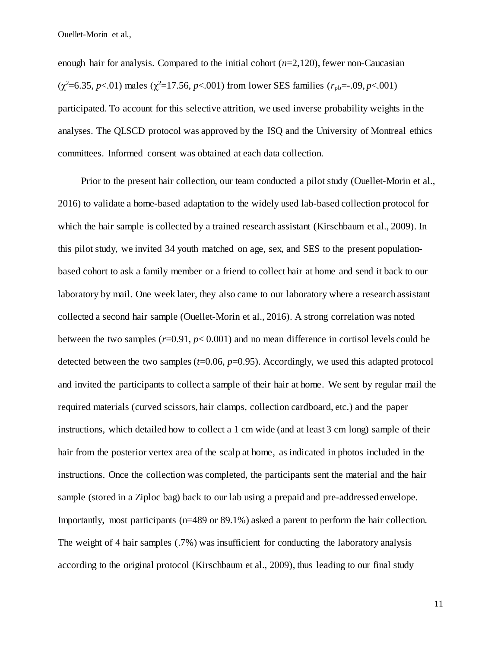enough hair for analysis. Compared to the initial cohort (*n*=2,120), fewer non-Caucasian  $(\gamma^2 = 6.35, p < 0.01)$  males  $(\gamma^2 = 17.56, p < 0.001)$  from lower SES families  $(r_{\text{nb}} = 0.09, p < 0.001)$ participated. To account for this selective attrition, we used inverse probability weights in the analyses. The QLSCD protocol was approved by the ISQ and the University of Montreal ethics committees. Informed consent was obtained at each data collection.

Prior to the present hair collection, our team conducted a pilot study (Ouellet-Morin et al., 2016) to validate a home-based adaptation to the widely used lab-based collection protocol for which the hair sample is collected by a trained research assistant (Kirschbaum et al., 2009). In this pilot study, we invited 34 youth matched on age, sex, and SES to the present populationbased cohort to ask a family member or a friend to collect hair at home and send it back to our laboratory by mail. One week later, they also came to our laboratory where a research assistant collected a second hair sample (Ouellet-Morin et al., 2016). A strong correlation was noted between the two samples  $(r=0.91, p<0.001)$  and no mean difference in cortisol levels could be detected between the two samples (*t*=0.06, *p*=0.95). Accordingly, we used this adapted protocol and invited the participants to collect a sample of their hair at home. We sent by regular mail the required materials (curved scissors, hair clamps, collection cardboard, etc.) and the paper instructions, which detailed how to collect a 1 cm wide (and at least 3 cm long) sample of their hair from the posterior vertex area of the scalp at home, as indicated in photos included in the instructions. Once the collection was completed, the participants sent the material and the hair sample (stored in a Ziploc bag) back to our lab using a prepaid and pre-addressed envelope. Importantly, most participants (n=489 or 89.1%) asked a parent to perform the hair collection. The weight of 4 hair samples (.7%) was insufficient for conducting the laboratory analysis according to the original protocol (Kirschbaum et al., 2009), thus leading to our final study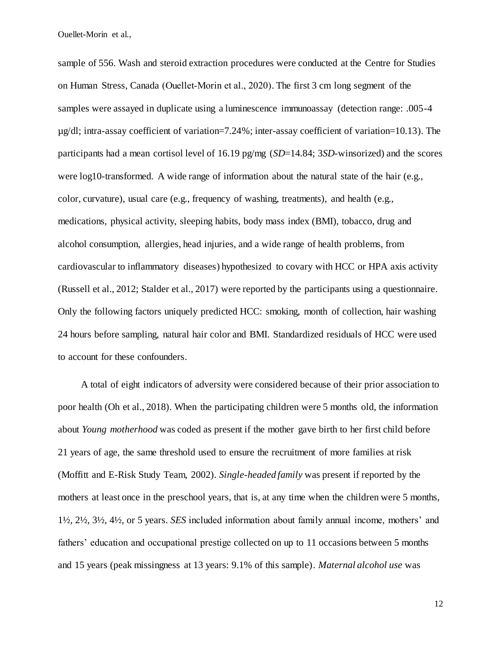sample of 556. Wash and steroid extraction procedures were conducted at the Centre for Studies on Human Stress, Canada (Ouellet‐Morin et al., 2020). The first 3 cm long segment of the samples were assayed in duplicate using a luminescence immunoassay (detection range: .005-4 µg/dl; intra-assay coefficient of variation=7.24%; inter-assay coefficient of variation=10.13). The participants had a mean cortisol level of 16.19 pg/mg (*SD*=14.84; 3*SD*-winsorized) and the scores were log10-transformed. A wide range of information about the natural state of the hair (e.g., color, curvature), usual care (e.g., frequency of washing, treatments), and health (e.g., medications, physical activity, sleeping habits, body mass index (BMI), tobacco, drug and alcohol consumption, allergies, head injuries, and a wide range of health problems, from cardiovascular to inflammatory diseases) hypothesized to covary with HCC or HPA axis activity (Russell et al., 2012; Stalder et al., 2017) were reported by the participants using a questionnaire. Only the following factors uniquely predicted HCC: smoking, month of collection, hair washing 24 hours before sampling, natural hair color and BMI. Standardized residuals of HCC were used to account for these confounders.

A total of eight indicators of adversity were considered because of their prior association to poor health (Oh et al., 2018). When the participating children were 5 months old, the information about *Young motherhood* was coded as present if the mother gave birth to her first child before 21 years of age, the same threshold used to ensure the recruitment of more families at risk (Moffitt and E-Risk Study Team, 2002). *Single-headed family* was present if reported by the mothers at least once in the preschool years, that is, at any time when the children were 5 months, 1½, 2½, 3½, 4½, or 5 years. *SES* included information about family annual income, mothers' and fathers' education and occupational prestige collected on up to 11 occasions between 5 months and 15 years (peak missingness at 13 years: 9.1% of this sample). *Maternal alcohol use* was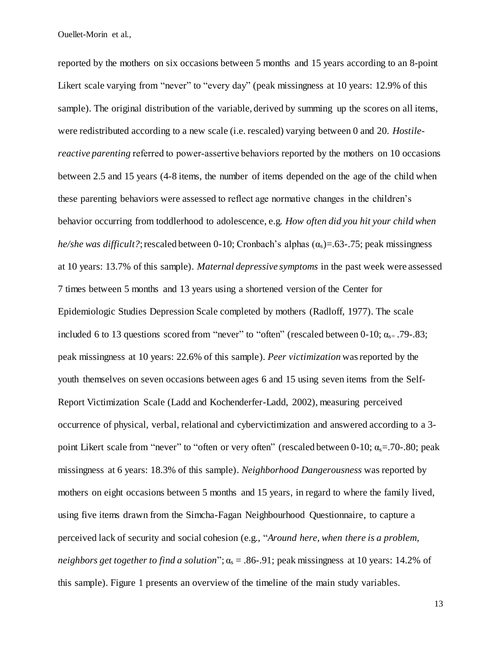reported by the mothers on six occasions between 5 months and 15 years according to an 8-point Likert scale varying from "never" to "every day" (peak missingness at 10 years: 12.9% of this sample). The original distribution of the variable, derived by summing up the scores on all items, were redistributed according to a new scale (i.e. rescaled) varying between 0 and 20. *Hostilereactive parenting* referred to power-assertive behaviors reported by the mothers on 10 occasions between 2.5 and 15 years (4-8 items, the number of items depended on the age of the child when these parenting behaviors were assessed to reflect age normative changes in the children's behavior occurring from toddlerhood to adolescence, e.g. *How often did you hit your child when he/she was difficult?*; rescaled between 0-10; Cronbach's alphas  $(\alpha_s) = .63-.75$ ; peak missingness at 10 years: 13.7% of this sample). *Maternal depressive symptoms* in the past week were assessed 7 times between 5 months and 13 years using a shortened version of the Center for Epidemiologic Studies Depression Scale completed by mothers (Radloff, 1977). The scale included 6 to 13 questions scored from "never" to "often" (rescaled between 0-10;  $\alpha_{s=}$ . 79-.83; peak missingness at 10 years: 22.6% of this sample). *Peer victimization* was reported by the youth themselves on seven occasions between ages 6 and 15 using seven items from the Self-Report Victimization Scale (Ladd and Kochenderfer-Ladd, 2002), measuring perceived occurrence of physical, verbal, relational and cybervictimization and answered according to a 3 point Likert scale from "never" to "often or very often" (rescaled between 0-10;  $\alpha_s$ =.70-.80; peak missingness at 6 years: 18.3% of this sample). *Neighborhood Dangerousness* was reported by mothers on eight occasions between 5 months and 15 years, in regard to where the family lived, using five items drawn from the Simcha-Fagan Neighbourhood Questionnaire, to capture a perceived lack of security and social cohesion (e.g., "*Around here, when there is a problem, neighbors get together to find a solution*";  $\alpha_s = .86-.91$ ; peak missingness at 10 years: 14.2% of this sample). Figure 1 presents an overview of the timeline of the main study variables.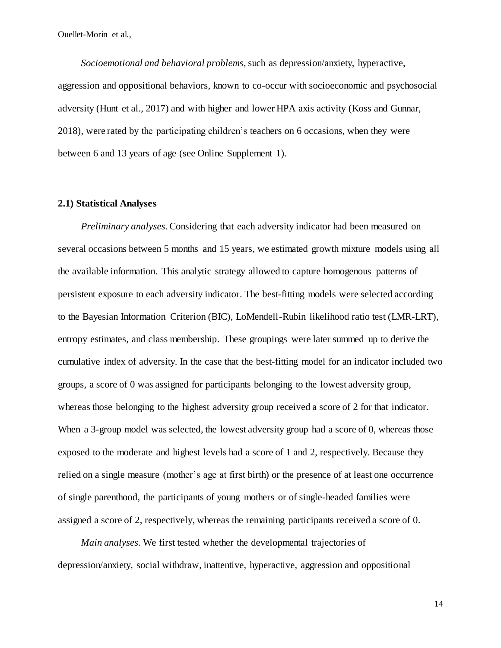*Socioemotional and behavioral problems*, such as depression/anxiety, hyperactive, aggression and oppositional behaviors, known to co-occur with socioeconomic and psychosocial adversity (Hunt et al., 2017) and with higher and lower HPA axis activity (Koss and Gunnar, 2018), were rated by the participating children's teachers on 6 occasions, when they were between 6 and 13 years of age (see Online Supplement 1).

#### **2.1) Statistical Analyses**

*Preliminary analyses.* Considering that each adversity indicator had been measured on several occasions between 5 months and 15 years, we estimated growth mixture models using all the available information. This analytic strategy allowed to capture homogenous patterns of persistent exposure to each adversity indicator. The best-fitting models were selected according to the Bayesian Information Criterion (BIC), LoMendell-Rubin likelihood ratio test (LMR-LRT), entropy estimates, and class membership. These groupings were later summed up to derive the cumulative index of adversity. In the case that the best-fitting model for an indicator included two groups, a score of 0 was assigned for participants belonging to the lowest adversity group, whereas those belonging to the highest adversity group received a score of 2 for that indicator. When a 3-group model was selected, the lowest adversity group had a score of 0, whereas those exposed to the moderate and highest levels had a score of 1 and 2, respectively. Because they relied on a single measure (mother's age at first birth) or the presence of at least one occurrence of single parenthood, the participants of young mothers or of single-headed families were assigned a score of 2, respectively, whereas the remaining participants received a score of 0.

*Main analyses.* We first tested whether the developmental trajectories of depression/anxiety, social withdraw, inattentive, hyperactive, aggression and oppositional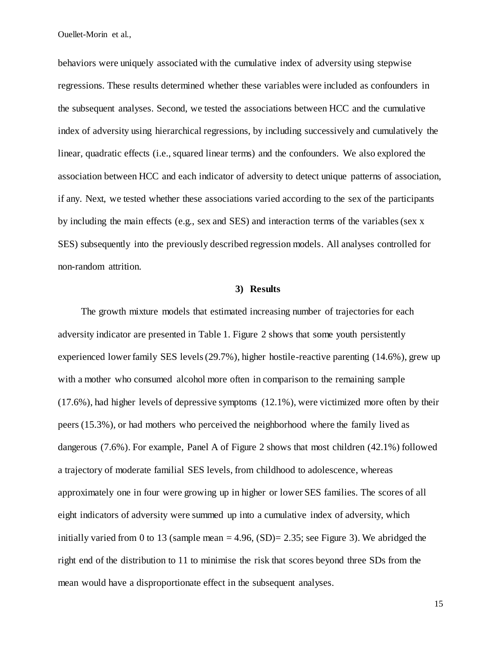behaviors were uniquely associated with the cumulative index of adversity using stepwise regressions. These results determined whether these variables were included as confounders in the subsequent analyses. Second, we tested the associations between HCC and the cumulative index of adversity using hierarchical regressions, by including successively and cumulatively the linear, quadratic effects (i.e., squared linear terms) and the confounders. We also explored the association between HCC and each indicator of adversity to detect unique patterns of association, if any. Next, we tested whether these associations varied according to the sex of the participants by including the main effects (e.g., sex and SES) and interaction terms of the variables (sex x SES) subsequently into the previously described regression models. All analyses controlled for non-random attrition.

### **3) Results**

The growth mixture models that estimated increasing number of trajectories for each adversity indicator are presented in Table 1. Figure 2 shows that some youth persistently experienced lower family SES levels (29.7%), higher hostile-reactive parenting (14.6%), grew up with a mother who consumed alcohol more often in comparison to the remaining sample (17.6%), had higher levels of depressive symptoms (12.1%), were victimized more often by their peers (15.3%), or had mothers who perceived the neighborhood where the family lived as dangerous (7.6%). For example, Panel A of Figure 2 shows that most children (42.1%) followed a trajectory of moderate familial SES levels, from childhood to adolescence, whereas approximately one in four were growing up in higher or lower SES families. The scores of all eight indicators of adversity were summed up into a cumulative index of adversity, which initially varied from 0 to 13 (sample mean  $= 4.96$ , (SD) $= 2.35$ ; see Figure 3). We abridged the right end of the distribution to 11 to minimise the risk that scores beyond three SDs from the mean would have a disproportionate effect in the subsequent analyses.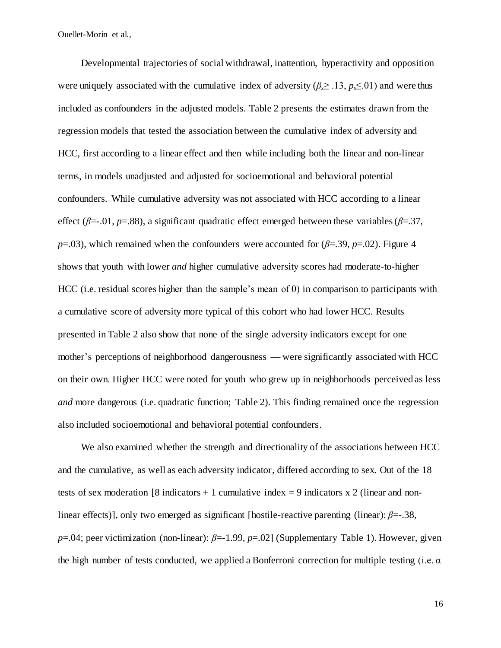Developmental trajectories of social withdrawal, inattention, hyperactivity and opposition were uniquely associated with the cumulative index of adversity ( $\beta \geq 0.13$ ,  $p_s \leq 0.01$ ) and were thus included as confounders in the adjusted models. Table 2 presents the estimates drawn from the regression models that tested the association between the cumulative index of adversity and HCC, first according to a linear effect and then while including both the linear and non-linear terms, in models unadjusted and adjusted for socioemotional and behavioral potential confounders. While cumulative adversity was not associated with HCC according to a linear effect ( $\beta$ =-.01,  $p$ =.88), a significant quadratic effect emerged between these variables ( $\beta$ =.37, *p*=.03), which remained when the confounders were accounted for (*β*=.39, *p*=.02). Figure 4 shows that youth with lower *and* higher cumulative adversity scores had moderate-to-higher HCC (i.e. residual scores higher than the sample's mean of 0) in comparison to participants with a cumulative score of adversity more typical of this cohort who had lower HCC. Results presented in Table 2 also show that none of the single adversity indicators except for one mother's perceptions of neighborhood dangerousness — were significantly associated with HCC on their own. Higher HCC were noted for youth who grew up in neighborhoods perceived as less *and* more dangerous (i.e. quadratic function; Table 2). This finding remained once the regression also included socioemotional and behavioral potential confounders.

We also examined whether the strength and directionality of the associations between HCC and the cumulative, as well as each adversity indicator, differed according to sex. Out of the 18 tests of sex moderation [8 indicators + 1 cumulative index = 9 indicators x 2 (linear and nonlinear effects)], only two emerged as significant [hostile-reactive parenting (linear): *β*=-.38, *p*=.04; peer victimization (non-linear): *β*=-1.99, *p*=.02] (Supplementary Table 1). However, given the high number of tests conducted, we applied a Bonferroni correction for multiple testing (i.e.  $\alpha$ )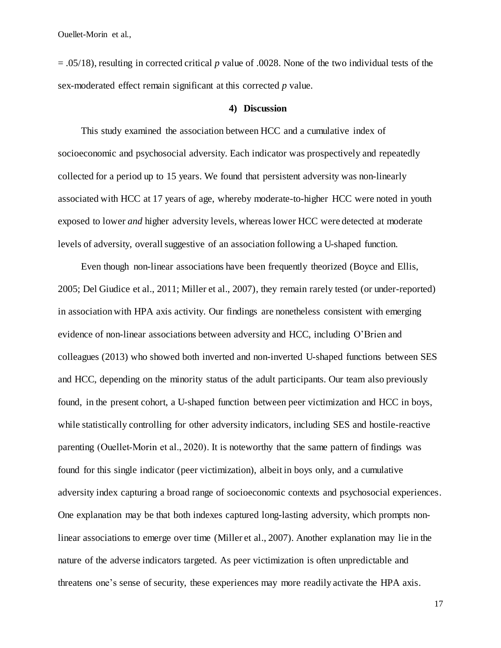$= .05/18$ ), resulting in corrected critical *p* value of .0028. None of the two individual tests of the sex-moderated effect remain significant at this corrected *p* value.

## **4) Discussion**

This study examined the association between HCC and a cumulative index of socioeconomic and psychosocial adversity. Each indicator was prospectively and repeatedly collected for a period up to 15 years. We found that persistent adversity was non-linearly associated with HCC at 17 years of age, whereby moderate-to-higher HCC were noted in youth exposed to lower *and* higher adversity levels, whereas lower HCC were detected at moderate levels of adversity, overall suggestive of an association following a U-shaped function.

Even though non-linear associations have been frequently theorized (Boyce and Ellis, 2005; Del Giudice et al., 2011; Miller et al., 2007), they remain rarely tested (or under-reported) in association with HPA axis activity. Our findings are nonetheless consistent with emerging evidence of non-linear associations between adversity and HCC, including O'Brien and colleagues (2013) who showed both inverted and non-inverted U-shaped functions between SES and HCC, depending on the minority status of the adult participants. Our team also previously found, in the present cohort, a U-shaped function between peer victimization and HCC in boys, while statistically controlling for other adversity indicators, including SES and hostile-reactive parenting (Ouellet-Morin et al., 2020). It is noteworthy that the same pattern of findings was found for this single indicator (peer victimization), albeit in boys only, and a cumulative adversity index capturing a broad range of socioeconomic contexts and psychosocial experiences. One explanation may be that both indexes captured long-lasting adversity, which prompts nonlinear associations to emerge over time (Miller et al., 2007). Another explanation may lie in the nature of the adverse indicators targeted. As peer victimization is often unpredictable and threatens one's sense of security, these experiences may more readily activate the HPA axis.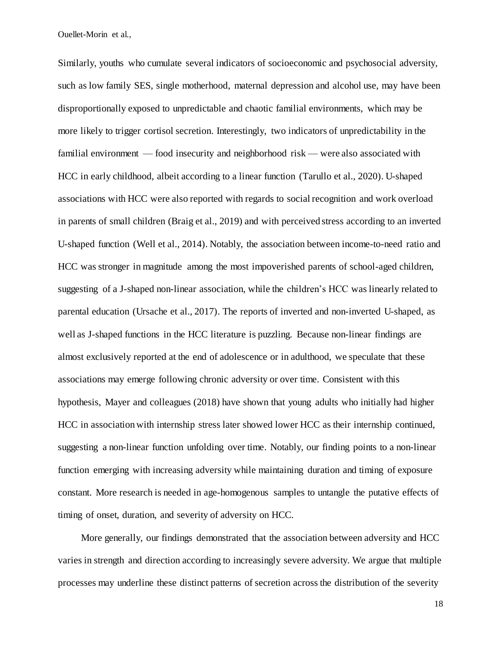Similarly, youths who cumulate several indicators of socioeconomic and psychosocial adversity, such as low family SES, single motherhood, maternal depression and alcohol use, may have been disproportionally exposed to unpredictable and chaotic familial environments, which may be more likely to trigger cortisol secretion. Interestingly, two indicators of unpredictability in the familial environment — food insecurity and neighborhood risk — were also associated with HCC in early childhood, albeit according to a linear function (Tarullo et al., 2020). U-shaped associations with HCC were also reported with regards to social recognition and work overload in parents of small children (Braig et al., 2019) and with perceived stress according to an inverted U-shaped function (Well et al., 2014). Notably, the association between income-to-need ratio and HCC was stronger in magnitude among the most impoverished parents of school-aged children, suggesting of a J-shaped non-linear association, while the children's HCC was linearly related to parental education (Ursache et al., 2017). The reports of inverted and non-inverted U-shaped, as well as J-shaped functions in the HCC literature is puzzling. Because non-linear findings are almost exclusively reported at the end of adolescence or in adulthood, we speculate that these associations may emerge following chronic adversity or over time. Consistent with this hypothesis, Mayer and colleagues (2018) have shown that young adults who initially had higher HCC in association with internship stress later showed lower HCC as their internship continued, suggesting a non-linear function unfolding over time. Notably, our finding points to a non-linear function emerging with increasing adversity while maintaining duration and timing of exposure constant. More research is needed in age-homogenous samples to untangle the putative effects of timing of onset, duration, and severity of adversity on HCC.

More generally, our findings demonstrated that the association between adversity and HCC varies in strength and direction according to increasingly severe adversity. We argue that multiple processes may underline these distinct patterns of secretion across the distribution of the severity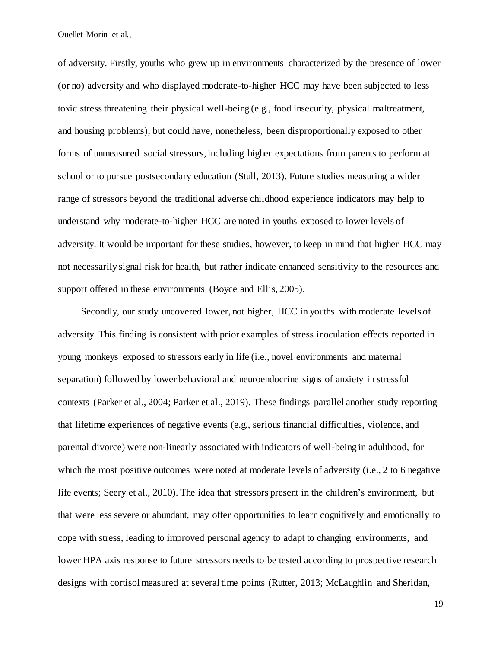of adversity. Firstly, youths who grew up in environments characterized by the presence of lower (or no) adversity and who displayed moderate-to-higher HCC may have been subjected to less toxic stress threatening their physical well-being (e.g., food insecurity, physical maltreatment, and housing problems), but could have, nonetheless, been disproportionally exposed to other forms of unmeasured social stressors, including higher expectations from parents to perform at school or to pursue postsecondary education (Stull, 2013). Future studies measuring a wider range of stressors beyond the traditional adverse childhood experience indicators may help to understand why moderate-to-higher HCC are noted in youths exposed to lower levels of adversity. It would be important for these studies, however, to keep in mind that higher HCC may not necessarily signal risk for health, but rather indicate enhanced sensitivity to the resources and support offered in these environments (Boyce and Ellis, 2005).

Secondly, our study uncovered lower, not higher, HCC in youths with moderate levels of adversity. This finding is consistent with prior examples of stress inoculation effects reported in young monkeys exposed to stressors early in life (i.e., novel environments and maternal separation) followed by lower behavioral and neuroendocrine signs of anxiety in stressful contexts (Parker et al., 2004; Parker et al., 2019). These findings parallel another study reporting that lifetime experiences of negative events (e.g., serious financial difficulties, violence, and parental divorce) were non-linearly associated with indicators of well-being in adulthood, for which the most positive outcomes were noted at moderate levels of adversity (i.e., 2 to 6 negative life events; Seery et al., 2010). The idea that stressors present in the children's environment, but that were less severe or abundant, may offer opportunities to learn cognitively and emotionally to cope with stress, leading to improved personal agency to adapt to changing environments, and lower HPA axis response to future stressors needs to be tested according to prospective research designs with cortisol measured at several time points (Rutter, 2013; McLaughlin and Sheridan,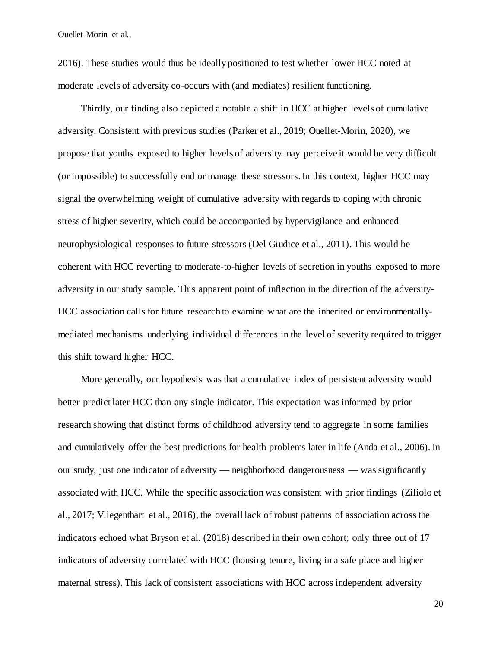2016). These studies would thus be ideally positioned to test whether lower HCC noted at moderate levels of adversity co-occurs with (and mediates) resilient functioning.

Thirdly, our finding also depicted a notable a shift in HCC at higher levels of cumulative adversity. Consistent with previous studies (Parker et al., 2019; Ouellet-Morin, 2020), we propose that youths exposed to higher levels of adversity may perceive it would be very difficult (or impossible) to successfully end or manage these stressors.In this context, higher HCC may signal the overwhelming weight of cumulative adversity with regards to coping with chronic stress of higher severity, which could be accompanied by hypervigilance and enhanced neurophysiological responses to future stressors (Del Giudice et al., 2011). This would be coherent with HCC reverting to moderate-to-higher levels of secretion in youths exposed to more adversity in our study sample. This apparent point of inflection in the direction of the adversity-HCC association calls for future research to examine what are the inherited or environmentallymediated mechanisms underlying individual differences in the level of severity required to trigger this shift toward higher HCC.

More generally, our hypothesis was that a cumulative index of persistent adversity would better predict later HCC than any single indicator. This expectation was informed by prior research showing that distinct forms of childhood adversity tend to aggregate in some families and cumulatively offer the best predictions for health problems later in life (Anda et al., 2006). In our study, just one indicator of adversity — neighborhood dangerousness — was significantly associated with HCC. While the specific association was consistent with prior findings (Ziliolo et al., 2017; Vliegenthart et al., 2016), the overall lack of robust patterns of association across the indicators echoed what Bryson et al. (2018) described in their own cohort; only three out of 17 indicators of adversity correlated with HCC (housing tenure, living in a safe place and higher maternal stress). This lack of consistent associations with HCC across independent adversity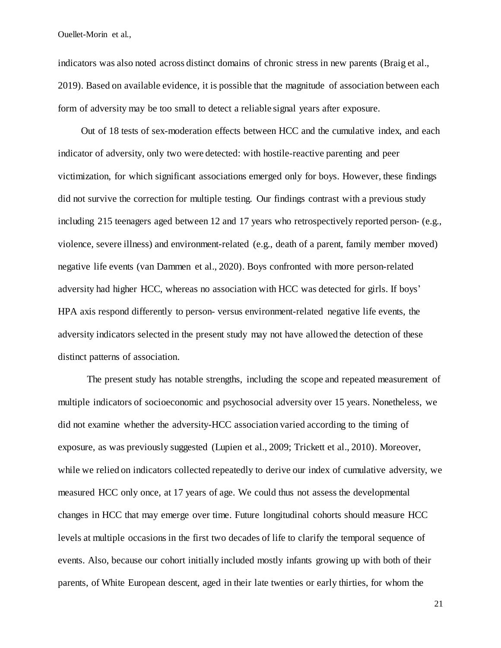indicators was also noted across distinct domains of chronic stress in new parents (Braig et al., 2019). Based on available evidence, it is possible that the magnitude of association between each form of adversity may be too small to detect a reliable signal years after exposure.

Out of 18 tests of sex-moderation effects between HCC and the cumulative index, and each indicator of adversity, only two were detected: with hostile-reactive parenting and peer victimization, for which significant associations emerged only for boys. However, these findings did not survive the correction for multiple testing. Our findings contrast with a previous study including 215 teenagers aged between 12 and 17 years who retrospectively reported person- (e.g., violence, severe illness) and environment-related (e.g., death of a parent, family member moved) negative life events (van Dammen et al., 2020). Boys confronted with more person-related adversity had higher HCC, whereas no association with HCC was detected for girls. If boys' HPA axis respond differently to person- versus environment-related negative life events, the adversity indicators selected in the present study may not have allowed the detection of these distinct patterns of association.

The present study has notable strengths, including the scope and repeated measurement of multiple indicators of socioeconomic and psychosocial adversity over 15 years. Nonetheless, we did not examine whether the adversity-HCC association varied according to the timing of exposure, as was previously suggested (Lupien et al., 2009; Trickett et al., 2010). Moreover, while we relied on indicators collected repeatedly to derive our index of cumulative adversity, we measured HCC only once, at 17 years of age. We could thus not assess the developmental changes in HCC that may emerge over time. Future longitudinal cohorts should measure HCC levels at multiple occasions in the first two decades of life to clarify the temporal sequence of events. Also, because our cohort initially included mostly infants growing up with both of their parents, of White European descent, aged in their late twenties or early thirties, for whom the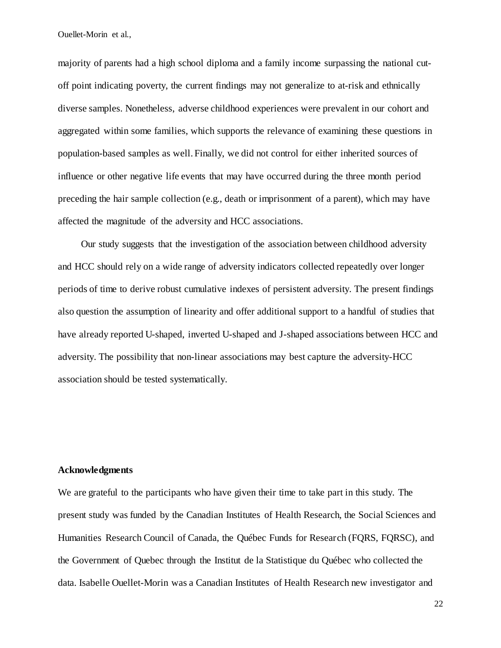majority of parents had a high school diploma and a family income surpassing the national cutoff point indicating poverty, the current findings may not generalize to at-risk and ethnically diverse samples. Nonetheless, adverse childhood experiences were prevalent in our cohort and aggregated within some families, which supports the relevance of examining these questions in population-based samples as well. Finally, we did not control for either inherited sources of influence or other negative life events that may have occurred during the three month period preceding the hair sample collection (e.g., death or imprisonment of a parent), which may have affected the magnitude of the adversity and HCC associations.

Our study suggests that the investigation of the association between childhood adversity and HCC should rely on a wide range of adversity indicators collected repeatedly over longer periods of time to derive robust cumulative indexes of persistent adversity. The present findings also question the assumption of linearity and offer additional support to a handful of studies that have already reported U-shaped, inverted U-shaped and J-shaped associations between HCC and adversity. The possibility that non-linear associations may best capture the adversity-HCC association should be tested systematically.

## **Acknowledgments**

We are grateful to the participants who have given their time to take part in this study. The present study was funded by the Canadian Institutes of Health Research, the Social Sciences and Humanities Research Council of Canada, the Québec Funds for Research (FQRS, FQRSC), and the Government of Quebec through the Institut de la Statistique du Québec who collected the data. Isabelle Ouellet-Morin was a Canadian Institutes of Health Research new investigator and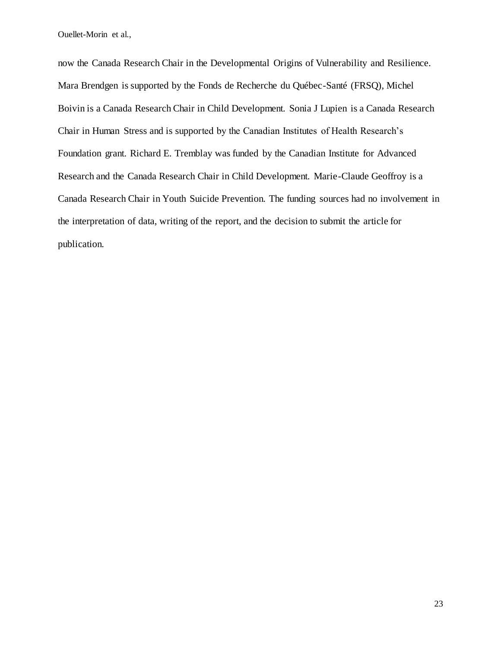now the Canada Research Chair in the Developmental Origins of Vulnerability and Resilience. Mara Brendgen is supported by the Fonds de Recherche du Québec-Santé (FRSQ), Michel Boivin is a Canada Research Chair in Child Development. Sonia J Lupien is a Canada Research Chair in Human Stress and is supported by the Canadian Institutes of Health Research's Foundation grant. Richard E. Tremblay was funded by the Canadian Institute for Advanced Research and the Canada Research Chair in Child Development. Marie-Claude Geoffroy is a Canada Research Chair in Youth Suicide Prevention. The funding sources had no involvement in the interpretation of data, writing of the report, and the decision to submit the article for publication.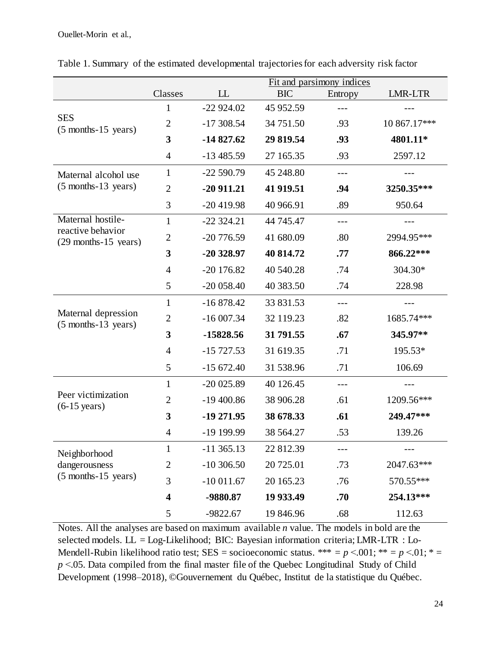|                                                                  |                         | Fit and parsimony indices |            |         |                |
|------------------------------------------------------------------|-------------------------|---------------------------|------------|---------|----------------|
|                                                                  | Classes                 | LL                        | <b>BIC</b> | Entropy | <b>LMR-LTR</b> |
| <b>SES</b><br>$(5$ months-15 years)                              | $\mathbf{1}$            | $-22924.02$               | 45 952.59  |         |                |
|                                                                  | $\overline{2}$          | $-17308.54$               | 34 751.50  | .93     | 10 867.17***   |
|                                                                  | 3                       | $-14827.62$               | 29 819.54  | .93     | 4801.11*       |
|                                                                  | $\overline{4}$          | $-13485.59$               | 27 165.35  | .93     | 2597.12        |
| Maternal alcohol use<br>$(5$ months-13 years)                    | $\mathbf{1}$            | $-22590.79$               | 45 248.80  | ---     |                |
|                                                                  | $\overline{2}$          | $-20911.21$               | 41 919.51  | .94     | 3250.35***     |
|                                                                  | 3                       | $-20419.98$               | 40 966.91  | .89     | 950.64         |
| Maternal hostile-<br>reactive behavior<br>$(29$ months-15 years) | $\mathbf{1}$            | $-22324.21$               | 44 745.47  | ---     |                |
|                                                                  | $\overline{2}$          | $-20776.59$               | 41 680.09  | .80     | 2994.95***     |
|                                                                  | 3                       | $-20328.97$               | 40 814.72  | .77     | 866.22***      |
|                                                                  | $\overline{4}$          | $-20176.82$               | 40 540.28  | .74     | 304.30*        |
|                                                                  | 5                       | $-20058.40$               | 40 383.50  | .74     | 228.98         |
|                                                                  | $\mathbf{1}$            | $-16878.42$               | 33 831.53  | $---$   | ---            |
| Maternal depression<br>$(5$ months-13 years)                     | $\overline{2}$          | $-16007.34$               | 32 119.23  | .82     | 1685.74***     |
|                                                                  | 3                       | -15828.56                 | 31 791.55  | .67     | 345.97**       |
|                                                                  | 4                       | $-15727.53$               | 31 619.35  | .71     | 195.53*        |
|                                                                  | 5                       | $-15672.40$               | 31 538.96  | .71     | 106.69         |
| Peer victimization<br>$(6-15 \text{ years})$                     | 1                       | $-20025.89$               | 40 126.45  | ---     |                |
|                                                                  | $\overline{2}$          | $-19400.86$               | 38 906.28  | .61     | 1209.56***     |
|                                                                  | 3                       | $-19271.95$               | 38 678.33  | .61     | 249.47***      |
|                                                                  | 4                       | -19 199.99                | 38 564.27  | .53     | 139.26         |
| Neighborhood<br>dangerousness<br>$(5$ months-15 years)           | $\mathbf{1}$            | $-11365.13$               | 22 812.39  | ---     | ---            |
|                                                                  | $\overline{2}$          | $-10306.50$               | 20 725.01  | .73     | 2047.63***     |
|                                                                  | 3                       | $-10011.67$               | 20 165.23  | .76     | 570.55***      |
|                                                                  | $\overline{\mathbf{4}}$ | -9880.87                  | 19 933.49  | .70     | 254.13***      |
|                                                                  | 5                       | $-9822.67$                | 19 846.96  | .68     | 112.63         |

Table 1. Summary of the estimated developmental trajectories for each adversity risk factor

Notes. All the analyses are based on maximum available *n* value. The models in bold are the selected models. LL = Log-Likelihood; BIC: Bayesian information criteria; LMR-LTR : Lo-Mendell-Rubin likelihood ratio test; SES = socioeconomic status. \*\*\* =  $p < 001$ ; \*\* =  $p < 01$ ; \* = *p* ˂.05. Data compiled from the final master file of the Quebec Longitudinal Study of Child Development (1998–2018), ©Gouvernement du Québec, Institut de la statistique du Québec.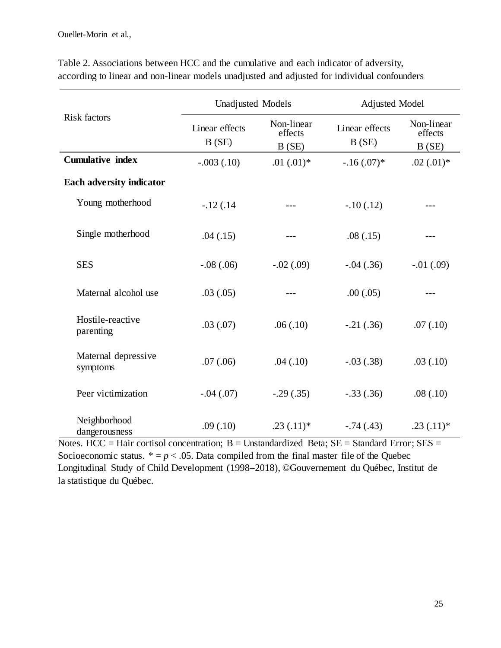|                                 | <b>Unadjusted Models</b> |                                | <b>Adjusted Model</b>   |                                |
|---------------------------------|--------------------------|--------------------------------|-------------------------|--------------------------------|
| <b>Risk factors</b>             | Linear effects<br>B(SE)  | Non-linear<br>effects<br>B(SE) | Linear effects<br>B(SE) | Non-linear<br>effects<br>B(SE) |
| <b>Cumulative index</b>         | $-.003(.10)$             | $.01(.01)$ *                   | $-16(0.07)$ *           | $.02(.01)*$                    |
| Each adversity indicator        |                          |                                |                         |                                |
| Young motherhood                | $-12(14)$                | $---$                          | $-.10(.12)$             |                                |
| Single motherhood               | .04(.15)                 |                                | .08(.15)                | ---                            |
| <b>SES</b>                      | $-.08(.06)$              | $-.02(.09)$                    | $-.04(.36)$             | $-.01(.09)$                    |
| Maternal alcohol use            | .03(.05)                 |                                | .00(.05)                |                                |
| Hostile-reactive<br>parenting   | .03(.07)                 | .06(.10)                       | $-.21(.36)$             | .07(.10)                       |
| Maternal depressive<br>symptoms | .07(.06)                 | .04(.10)                       | $-.03(.38)$             | .03(.10)                       |
| Peer victimization              | $-.04(.07)$              | $-.29(.35)$                    | $-.33(.36)$             | .08(.10)                       |
| Neighborhood<br>dangerousness   | .09(.10)                 | $.23(.11)*$                    | $-.74(.43)$             | $.23(.11)*$                    |

Table 2. Associations between HCC and the cumulative and each indicator of adversity, according to linear and non-linear models unadjusted and adjusted for individual confounders

Notes. HCC = Hair cortisol concentration;  $B =$  Unstandardized Beta;  $SE =$  Standard Error;  $SES =$ Socioeconomic status.  $* = p < .05$ . Data compiled from the final master file of the Quebec Longitudinal Study of Child Development (1998–2018), ©Gouvernement du Québec, Institut de la statistique du Québec.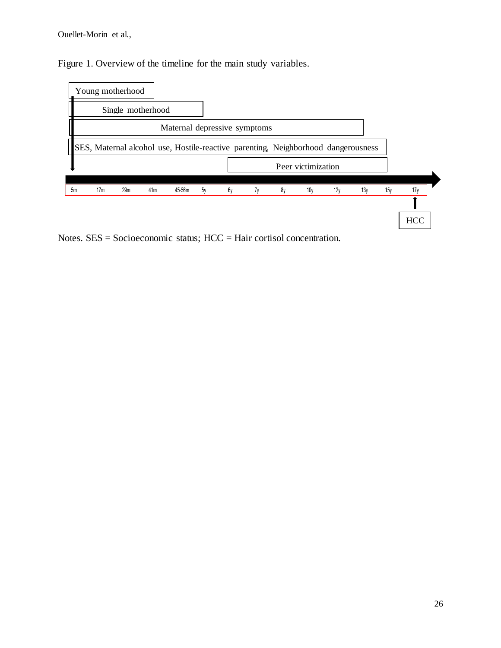Figure 1. Overview of the timeline for the main study variables.



Notes. SES = Socioeconomic status; HCC = Hair cortisol concentration.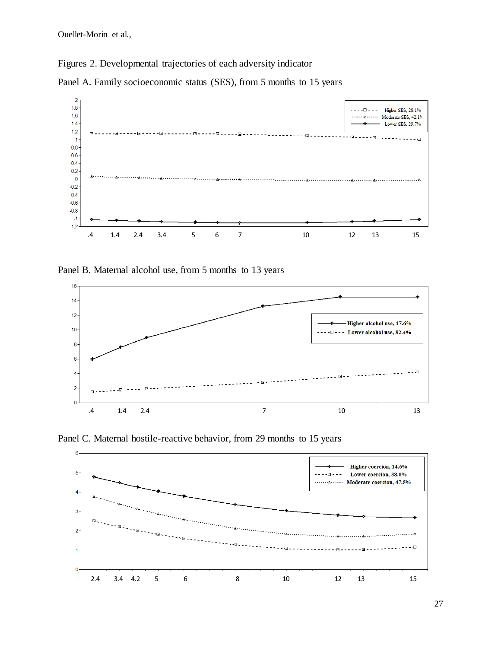Figures 2. Developmental trajectories of each adversity indicator

Panel A. Family socioeconomic status (SES), from 5 months to 15 years



Panel B. Maternal alcohol use, from 5 months to 13 years



Panel C. Maternal hostile-reactive behavior, from 29 months to 15 years

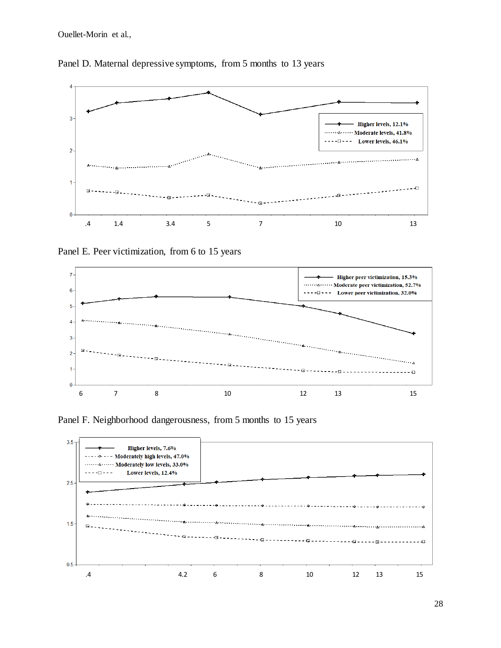

Panel D. Maternal depressive symptoms, from 5 months to 13 years





Panel F. Neighborhood dangerousness, from 5 months to 15 years

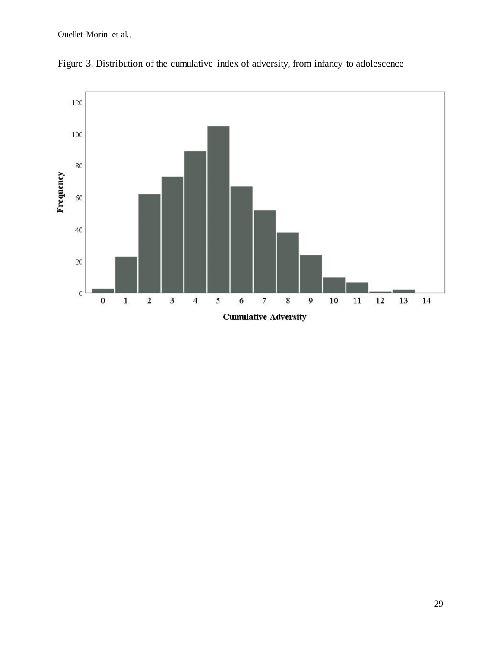

Figure 3. Distribution of the cumulative index of adversity, from infancy to adolescence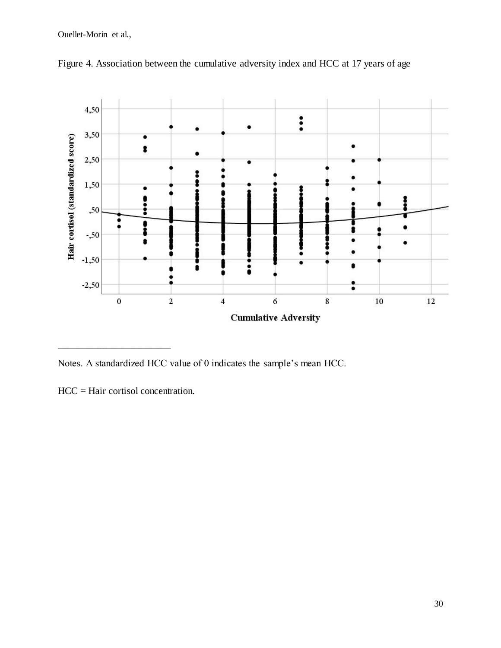

Figure 4. Association between the cumulative adversity index and HCC at 17 years of age

Notes. A standardized HCC value of 0 indicates the sample's mean HCC.

HCC = Hair cortisol concentration.

\_\_\_\_\_\_\_\_\_\_\_\_\_\_\_\_\_\_\_\_\_\_\_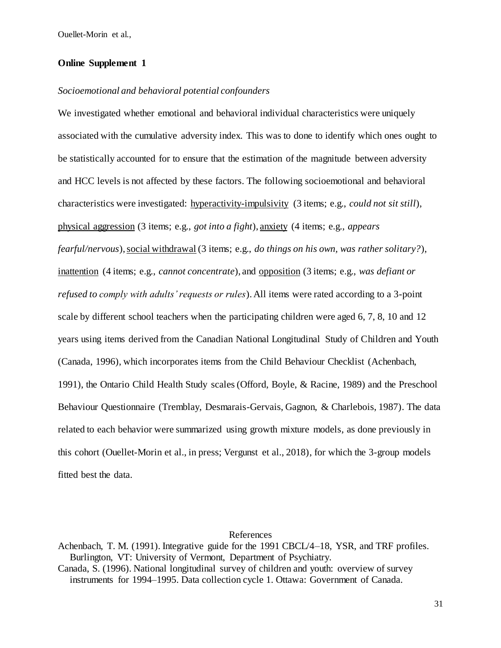#### **Online Supplement 1**

### *Socioemotional and behavioral potential confounders*

We investigated whether emotional and behavioral individual characteristics were uniquely associated with the cumulative adversity index. This was to done to identify which ones ought to be statistically accounted for to ensure that the estimation of the magnitude between adversity and HCC levels is not affected by these factors. The following socioemotional and behavioral characteristics were investigated: hyperactivity-impulsivity (3 items; e.g., *could not sit still*), physical aggression (3 items; e.g., *got into a fight*), anxiety (4 items; e.g., *appears fearful/nervous*), social withdrawal (3 items; e.g., *do things on his own, was rather solitary?*), inattention (4 items; e.g., *cannot concentrate*), and opposition (3 items; e.g., *was defiant or refused to comply with adults' requests or rules*). All items were rated according to a 3-point scale by different school teachers when the participating children were aged 6, 7, 8, 10 and 12 years using items derived from the Canadian National Longitudinal Study of Children and Youth (Canada, 1996), which incorporates items from the Child Behaviour Checklist (Achenbach, 1991), the Ontario Child Health Study scales (Offord, Boyle, & Racine, 1989) and the Preschool Behaviour Questionnaire (Tremblay, Desmarais-Gervais, Gagnon, & Charlebois, 1987). The data related to each behavior were summarized using growth mixture models, as done previously in this cohort (Ouellet-Morin et al., in press; Vergunst et al., 2018), for which the 3-group models fitted best the data.

#### References

Achenbach, T. M. (1991). Integrative guide for the 1991 CBCL/4–18, YSR, and TRF profiles. Burlington, VT: University of Vermont, Department of Psychiatry.

Canada, S. (1996). National longitudinal survey of children and youth: overview of survey instruments for 1994–1995. Data collection cycle 1. Ottawa: Government of Canada.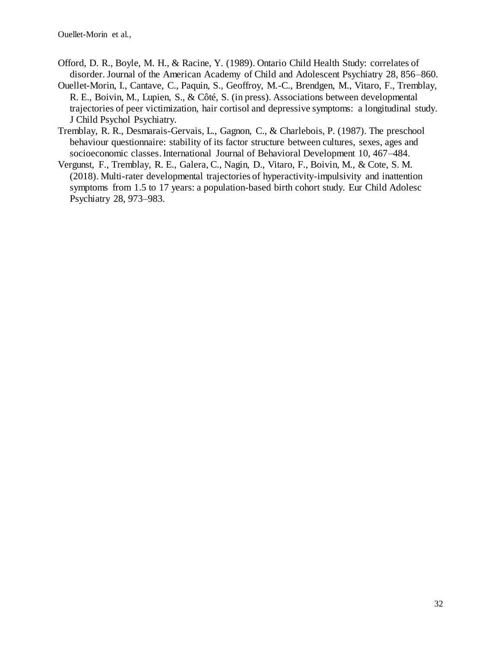- Offord, D. R., Boyle, M. H., & Racine, Y. (1989). Ontario Child Health Study: correlates of disorder. Journal of the American Academy of Child and Adolescent Psychiatry 28, 856–860.
- Ouellet-Morin, I., Cantave, C., Paquin, S., Geoffroy, M.-C., Brendgen, M., Vitaro, F., Tremblay, R. E., Boivin, M., Lupien, S., & Côté, S. (in press). Associations between developmental trajectories of peer victimization, hair cortisol and depressive symptoms: a longitudinal study. J Child Psychol Psychiatry.
- Tremblay, R. R., Desmarais-Gervais, L., Gagnon, C., & Charlebois, P. (1987). The preschool behaviour questionnaire: stability of its factor structure between cultures, sexes, ages and socioeconomic classes. International Journal of Behavioral Development 10, 467–484.
- Vergunst, F., Tremblay, R. E., Galera, C., Nagin, D., Vitaro, F., Boivin, M., & Cote, S. M. (2018). Multi-rater developmental trajectories of hyperactivity-impulsivity and inattention symptoms from 1.5 to 17 years: a population-based birth cohort study. Eur Child Adolesc Psychiatry 28, 973–983.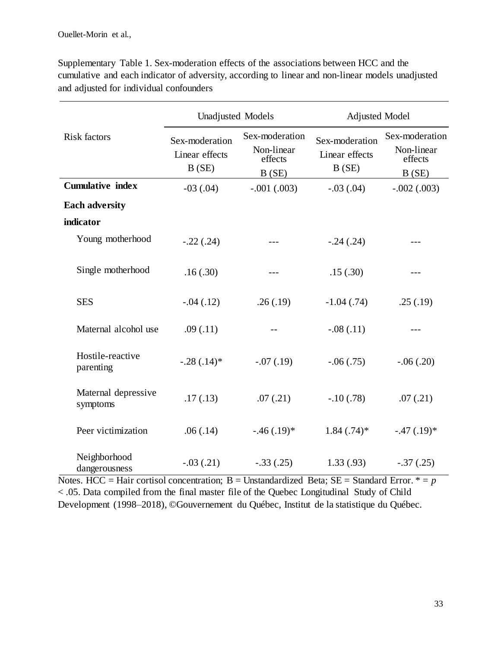Supplementary Table 1. Sex-moderation effects of the associations between HCC and the cumulative and each indicator of adversity, according to linear and non-linear models unadjusted and adjusted for individual confounders

|                                 | <b>Unadjusted Models</b>                  |                                                  | <b>Adjusted Model</b>                     |                                                  |
|---------------------------------|-------------------------------------------|--------------------------------------------------|-------------------------------------------|--------------------------------------------------|
| <b>Risk factors</b>             | Sex-moderation<br>Linear effects<br>B(SE) | Sex-moderation<br>Non-linear<br>effects<br>B(SE) | Sex-moderation<br>Linear effects<br>B(SE) | Sex-moderation<br>Non-linear<br>effects<br>B(SE) |
| <b>Cumulative index</b>         | $-03(0.04)$                               | $-.001(.003)$                                    | $-.03(.04)$                               | $-.002(.003)$                                    |
| <b>Each adversity</b>           |                                           |                                                  |                                           |                                                  |
| indicator                       |                                           |                                                  |                                           |                                                  |
| Young motherhood                | $-.22(.24)$                               |                                                  | $-.24(.24)$                               |                                                  |
| Single motherhood               | .16(.30)                                  |                                                  | .15(.30)                                  | ---                                              |
| <b>SES</b>                      | $-.04(.12)$                               | .26(.19)                                         | $-1.04$ (.74)                             | .25(.19)                                         |
| Maternal alcohol use            | .09(.11)                                  | $ -$                                             | $-.08(.11)$                               |                                                  |
| Hostile-reactive<br>parenting   | $-.28(.14)*$                              | $-.07(.19)$                                      | $-.06(.75)$                               | $-.06(.20)$                                      |
| Maternal depressive<br>symptoms | .17(.13)                                  | .07(.21)                                         | $-.10(.78)$                               | .07(.21)                                         |
| Peer victimization              | .06(.14)                                  | $-.46(.19)*$                                     | $1.84$ $(.74)*$                           | $-.47(.19)*$                                     |
| Neighborhood<br>dangerousness   | $-.03(.21)$                               | $-.33(.25)$                                      | 1.33(0.93)                                | $-.37(.25)$                                      |

Notes. HCC = Hair cortisol concentration;  $B =$  Unstandardized Beta;  $SE =$  Standard Error.  $* = p$ < .05. Data compiled from the final master file of the Quebec Longitudinal Study of Child Development (1998–2018), ©Gouvernement du Québec, Institut de la statistique du Québec.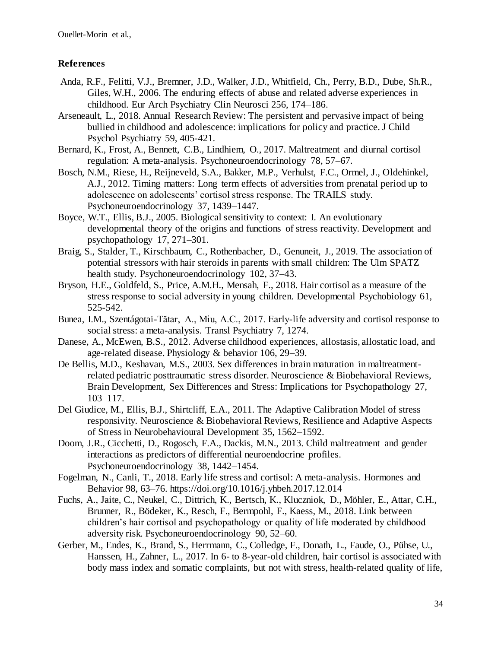# **References**

- Anda, R.F., Felitti, V.J., Bremner, J.D., Walker, J.D., Whitfield, Ch., Perry, B.D., Dube, Sh.R., Giles, W.H., 2006. The enduring effects of abuse and related adverse experiences in childhood. Eur Arch Psychiatry Clin Neurosci 256, 174–186.
- Arseneault, L., 2018. Annual Research Review: The persistent and pervasive impact of being bullied in childhood and adolescence: implications for policy and practice. J Child Psychol Psychiatry 59, 405-421.
- Bernard, K., Frost, A., Bennett, C.B., Lindhiem, O., 2017. Maltreatment and diurnal cortisol regulation: A meta-analysis. Psychoneuroendocrinology 78, 57–67.
- Bosch, N.M., Riese, H., Reijneveld, S.A., Bakker, M.P., Verhulst, F.C., Ormel, J., Oldehinkel, A.J., 2012. Timing matters: Long term effects of adversities from prenatal period up to adolescence on adolescents' cortisol stress response. The TRAILS study. Psychoneuroendocrinology 37, 1439–1447.
- Boyce, W.T., Ellis, B.J., 2005. Biological sensitivity to context: I. An evolutionary– developmental theory of the origins and functions of stress reactivity. Development and psychopathology 17, 271–301.
- Braig, S., Stalder, T., Kirschbaum, C., Rothenbacher, D., Genuneit, J., 2019. The association of potential stressors with hair steroids in parents with small children: The Ulm SPATZ health study. Psychoneuroendocrinology 102, 37–43.
- Bryson, H.E., Goldfeld, S., Price, A.M.H., Mensah, F., 2018. Hair cortisol as a measure of the stress response to social adversity in young children. Developmental Psychobiology 61, 525-542.
- Bunea, I.M., Szentágotai-Tătar, A., Miu, A.C., 2017. Early-life adversity and cortisol response to social stress: a meta-analysis. Transl Psychiatry 7, 1274.
- Danese, A., McEwen, B.S., 2012. Adverse childhood experiences, allostasis, allostatic load, and age-related disease. Physiology & behavior 106, 29–39.
- De Bellis, M.D., Keshavan, M.S., 2003. Sex differences in brain maturation in maltreatmentrelated pediatric posttraumatic stress disorder. Neuroscience & Biobehavioral Reviews, Brain Development, Sex Differences and Stress: Implications for Psychopathology 27, 103–117.
- Del Giudice, M., Ellis, B.J., Shirtcliff, E.A., 2011. The Adaptive Calibration Model of stress responsivity. Neuroscience & Biobehavioral Reviews, Resilience and Adaptive Aspects of Stress in Neurobehavioural Development 35, 1562–1592.
- Doom, J.R., Cicchetti, D., Rogosch, F.A., Dackis, M.N., 2013. Child maltreatment and gender interactions as predictors of differential neuroendocrine profiles. Psychoneuroendocrinology 38, 1442–1454.
- Fogelman, N., Canli, T., 2018. Early life stress and cortisol: A meta-analysis. Hormones and Behavior 98, 63–76. https://doi.org/10.1016/j.yhbeh.2017.12.014
- Fuchs, A., Jaite, C., Neukel, C., Dittrich, K., Bertsch, K., Kluczniok, D., Möhler, E., Attar, C.H., Brunner, R., Bödeker, K., Resch, F., Bermpohl, F., Kaess, M., 2018. Link between children's hair cortisol and psychopathology or quality of life moderated by childhood adversity risk. Psychoneuroendocrinology 90, 52–60.
- Gerber, M., Endes, K., Brand, S., Herrmann, C., Colledge, F., Donath, L., Faude, O., Pühse, U., Hanssen, H., Zahner, L., 2017. In 6- to 8-year-old children, hair cortisol is associated with body mass index and somatic complaints, but not with stress, health-related quality of life,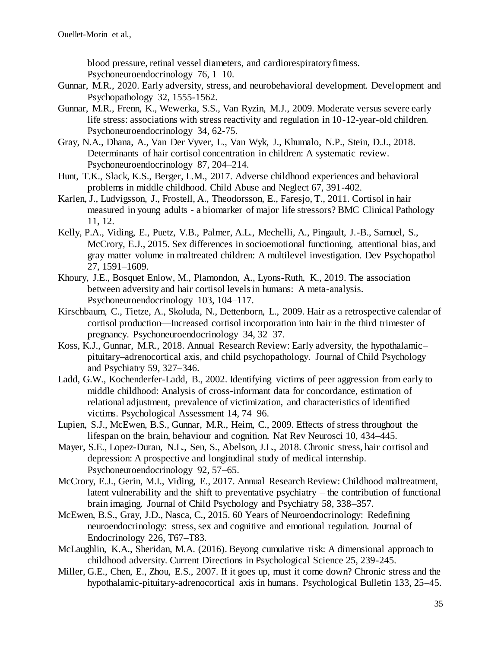blood pressure, retinal vessel diameters, and cardiorespiratory fitness. Psychoneuroendocrinology 76, 1–10.

- Gunnar, M.R., 2020. Early adversity, stress, and neurobehavioral development. Development and Psychopathology 32, 1555-1562.
- Gunnar, M.R., Frenn, K., Wewerka, S.S., Van Ryzin, M.J., 2009. Moderate versus severe early life stress: associations with stress reactivity and regulation in 10-12-year-old children. Psychoneuroendocrinology 34, 62-75.
- Gray, N.A., Dhana, A., Van Der Vyver, L., Van Wyk, J., Khumalo, N.P., Stein, D.J., 2018. Determinants of hair cortisol concentration in children: A systematic review. Psychoneuroendocrinology 87, 204–214.
- Hunt, T.K., Slack, K.S., Berger, L.M., 2017. Adverse childhood experiences and behavioral problems in middle childhood. Child Abuse and Neglect 67, 391-402.
- Karlen, J., Ludvigsson, J., Frostell, A., Theodorsson, E., Faresjo, T., 2011. Cortisol in hair measured in young adults - a biomarker of major life stressors? BMC Clinical Pathology 11, 12.
- Kelly, P.A., Viding, E., Puetz, V.B., Palmer, A.L., Mechelli, A., Pingault, J.-B., Samuel, S., McCrory, E.J., 2015. Sex differences in socioemotional functioning, attentional bias, and gray matter volume in maltreated children: A multilevel investigation. Dev Psychopathol 27, 1591–1609.
- Khoury, J.E., Bosquet Enlow, M., Plamondon, A., Lyons-Ruth, K., 2019. The association between adversity and hair cortisol levels in humans: A meta-analysis. Psychoneuroendocrinology 103, 104–117.
- Kirschbaum, C., Tietze, A., Skoluda, N., Dettenborn, L., 2009. Hair as a retrospective calendar of cortisol production—Increased cortisol incorporation into hair in the third trimester of pregnancy. Psychoneuroendocrinology 34, 32–37.
- Koss, K.J., Gunnar, M.R., 2018. Annual Research Review: Early adversity, the hypothalamic– pituitary–adrenocortical axis, and child psychopathology. Journal of Child Psychology and Psychiatry 59, 327–346.
- Ladd, G.W., Kochenderfer-Ladd, B., 2002. Identifying victims of peer aggression from early to middle childhood: Analysis of cross-informant data for concordance, estimation of relational adjustment, prevalence of victimization, and characteristics of identified victims. Psychological Assessment 14, 74–96.
- Lupien, S.J., McEwen, B.S., Gunnar, M.R., Heim, C., 2009. Effects of stress throughout the lifespan on the brain, behaviour and cognition. Nat Rev Neurosci 10, 434–445.
- Mayer, S.E., Lopez-Duran, N.L., Sen, S., Abelson, J.L., 2018. Chronic stress, hair cortisol and depression: A prospective and longitudinal study of medical internship. Psychoneuroendocrinology 92, 57–65.
- McCrory, E.J., Gerin, M.I., Viding, E., 2017. Annual Research Review: Childhood maltreatment, latent vulnerability and the shift to preventative psychiatry – the contribution of functional brain imaging. Journal of Child Psychology and Psychiatry 58, 338–357.
- McEwen, B.S., Gray, J.D., Nasca, C., 2015. 60 Years of Neuroendocrinology: Redefining neuroendocrinology: stress, sex and cognitive and emotional regulation. Journal of Endocrinology 226, T67–T83.
- McLaughlin, K.A., Sheridan, M.A. (2016). Beyong cumulative risk: A dimensional approach to childhood adversity. Current Directions in Psychological Science 25, 239-245.
- Miller, G.E., Chen, E., Zhou, E.S., 2007. If it goes up, must it come down? Chronic stress and the hypothalamic-pituitary-adrenocortical axis in humans. Psychological Bulletin 133, 25–45.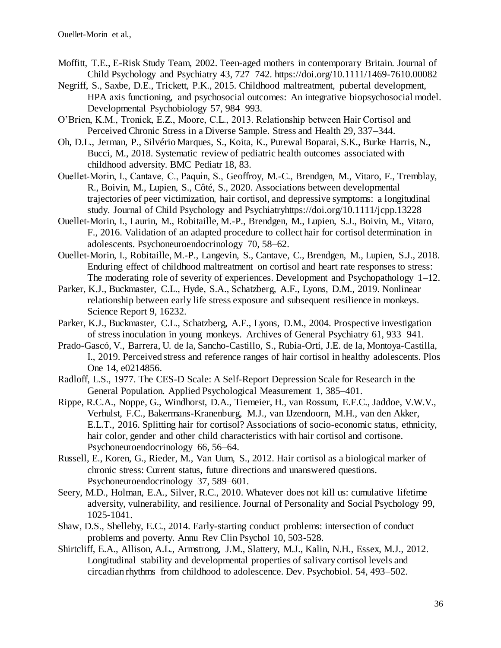- Moffitt, T.E., E-Risk Study Team, 2002. Teen-aged mothers in contemporary Britain. Journal of Child Psychology and Psychiatry 43, 727–742. https://doi.org/10.1111/1469-7610.00082
- Negriff, S., Saxbe, D.E., Trickett, P.K., 2015. Childhood maltreatment, pubertal development, HPA axis functioning, and psychosocial outcomes: An integrative biopsychosocial model. Developmental Psychobiology 57, 984–993.
- O'Brien, K.M., Tronick, E.Z., Moore, C.L., 2013. Relationship between Hair Cortisol and Perceived Chronic Stress in a Diverse Sample. Stress and Health 29, 337–344.
- Oh, D.L., Jerman, P., Silvério Marques, S., Koita, K., Purewal Boparai, S.K., Burke Harris, N., Bucci, M., 2018. Systematic review of pediatric health outcomes associated with childhood adversity. BMC Pediatr 18, 83.
- Ouellet‐Morin, I., Cantave, C., Paquin, S., Geoffroy, M.-C., Brendgen, M., Vitaro, F., Tremblay, R., Boivin, M., Lupien, S., Côté, S., 2020. Associations between developmental trajectories of peer victimization, hair cortisol, and depressive symptoms: a longitudinal study. Journal of Child Psychology and Psychiatryhttps://doi.org/10.1111/jcpp.13228
- Ouellet-Morin, I., Laurin, M., Robitaille, M.-P., Brendgen, M., Lupien, S.J., Boivin, M., Vitaro, F., 2016. Validation of an adapted procedure to collect hair for cortisol determination in adolescents. Psychoneuroendocrinology 70, 58–62.
- Ouellet-Morin, I., Robitaille, M.-P., Langevin, S., Cantave, C., Brendgen, M., Lupien, S.J., 2018. Enduring effect of childhood maltreatment on cortisol and heart rate responses to stress: The moderating role of severity of experiences. Development and Psychopathology 1–12.
- Parker, K.J., Buckmaster, C.L., Hyde, S.A., Schatzberg, A.F., Lyons, D.M., 2019. Nonlinear relationship between early life stress exposure and subsequent resilience in monkeys. Science Report 9, 16232.
- Parker, K.J., Buckmaster, C.L., Schatzberg, A.F., Lyons, D.M., 2004. Prospective investigation of stress inoculation in young monkeys. Archives of General Psychiatry 61, 933–941.
- Prado-Gascó, V., Barrera, U. de la, Sancho-Castillo, S., Rubia-Ortí, J.E. de la, Montoya-Castilla, I., 2019. Perceived stress and reference ranges of hair cortisol in healthy adolescents. Plos One 14, e0214856.
- Radloff, L.S., 1977. The CES-D Scale: A Self-Report Depression Scale for Research in the General Population. Applied Psychological Measurement 1, 385–401.
- Rippe, R.C.A., Noppe, G., Windhorst, D.A., Tiemeier, H., van Rossum, E.F.C., Jaddoe, V.W.V., Verhulst, F.C., Bakermans-Kranenburg, M.J., van IJzendoorn, M.H., van den Akker, E.L.T., 2016. Splitting hair for cortisol? Associations of socio-economic status, ethnicity, hair color, gender and other child characteristics with hair cortisol and cortisone. Psychoneuroendocrinology 66, 56–64.
- Russell, E., Koren, G., Rieder, M., Van Uum, S., 2012. Hair cortisol as a biological marker of chronic stress: Current status, future directions and unanswered questions. Psychoneuroendocrinology 37, 589–601.
- Seery, M.D., Holman, E.A., Silver, R.C., 2010. Whatever does not kill us: cumulative lifetime adversity, vulnerability, and resilience. Journal of Personality and Social Psychology 99, 1025-1041.
- Shaw, D.S., Shelleby, E.C., 2014. Early-starting conduct problems: intersection of conduct problems and poverty. Annu Rev Clin Psychol 10, 503-528.
- Shirtcliff, E.A., Allison, A.L., Armstrong, J.M., Slattery, M.J., Kalin, N.H., Essex, M.J., 2012. Longitudinal stability and developmental properties of salivary cortisol levels and circadian rhythms from childhood to adolescence. Dev. Psychobiol. 54, 493–502.